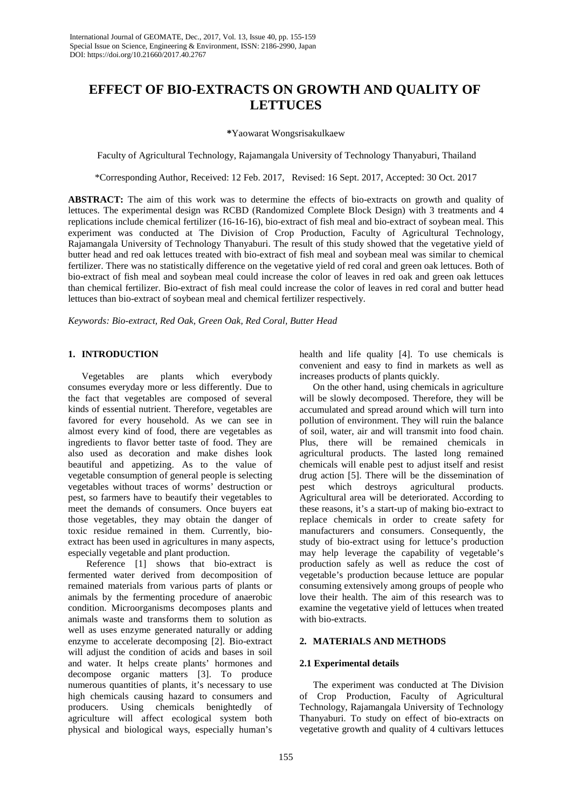# **EFFECT OF BIO-EXTRACTS ON GROWTH AND QUALITY OF LETTUCES**

#### **\***Yaowarat Wongsrisakulkaew

Faculty of Agricultural Technology, Rajamangala University of Technology Thanyaburi, Thailand

\*Corresponding Author, Received: 12 Feb. 2017, Revised: 16 Sept. 2017, Accepted: 30 Oct. 2017

**ABSTRACT:** The aim of this work was to determine the effects of bio-extracts on growth and quality of lettuces. The experimental design was RCBD (Randomized Complete Block Design) with 3 treatments and 4 replications include chemical fertilizer (16-16-16), bio-extract of fish meal and bio-extract of soybean meal. This experiment was conducted at The Division of Crop Production, Faculty of Agricultural Technology, Rajamangala University of Technology Thanyaburi. The result of this study showed that the vegetative yield of butter head and red oak lettuces treated with bio-extract of fish meal and soybean meal was similar to chemical fertilizer. There was no statistically difference on the vegetative yield of red coral and green oak lettuces. Both of bio-extract of fish meal and soybean meal could increase the color of leaves in red oak and green oak lettuces than chemical fertilizer. Bio-extract of fish meal could increase the color of leaves in red coral and butter head lettuces than bio-extract of soybean meal and chemical fertilizer respectively.

*Keywords: Bio-extract, Red Oak, Green Oak, Red Coral, Butter Head*

## **1. INTRODUCTION**

Vegetables are plants which everybody consumes everyday more or less differently. Due to the fact that vegetables are composed of several kinds of essential nutrient. Therefore, vegetables are favored for every household. As we can see in almost every kind of food, there are vegetables as ingredients to flavor better taste of food. They are also used as decoration and make dishes look beautiful and appetizing. As to the value of vegetable consumption of general people is selecting vegetables without traces of worms' destruction or pest, so farmers have to beautify their vegetables to meet the demands of consumers. Once buyers eat those vegetables, they may obtain the danger of toxic residue remained in them. Currently, bioextract has been used in agricultures in many aspects, especially vegetable and plant production.

Reference [1] shows that bio-extract is fermented water derived from decomposition of remained materials from various parts of plants or animals by the fermenting procedure of anaerobic condition. Microorganisms decomposes plants and animals waste and transforms them to solution as well as uses enzyme generated naturally or adding enzyme to accelerate decomposing [2]. Bio-extract will adjust the condition of acids and bases in soil and water. It helps create plants' hormones and decompose organic matters [3]. To produce numerous quantities of plants, it's necessary to use high chemicals causing hazard to consumers and producers. Using chemicals benightedly of agriculture will affect ecological system both physical and biological ways, especially human's health and life quality [4]. To use chemicals is convenient and easy to find in markets as well as increases products of plants quickly.

On the other hand, using chemicals in agriculture will be slowly decomposed. Therefore, they will be accumulated and spread around which will turn into pollution of environment. They will ruin the balance of soil, water, air and will transmit into food chain. Plus, there will be remained chemicals in agricultural products. The lasted long remained chemicals will enable pest to adjust itself and resist drug action [5]. There will be the dissemination of pest which destroys agricultural products. pest which destroys agricultural products. Agricultural area will be deteriorated. According to these reasons, it's a start-up of making bio-extract to replace chemicals in order to create safety for manufacturers and consumers. Consequently, the study of bio-extract using for lettuce's production may help leverage the capability of vegetable's production safely as well as reduce the cost of vegetable's production because lettuce are popular consuming extensively among groups of people who love their health. The aim of this research was to examine the vegetative yield of lettuces when treated with bio-extracts.

## **2. MATERIALS AND METHODS**

## **2.1 Experimental details**

The experiment was conducted at The Division of Crop Production, Faculty of Agricultural Technology, Rajamangala University of Technology Thanyaburi. To study on effect of bio-extracts on vegetative growth and quality of 4 cultivars lettuces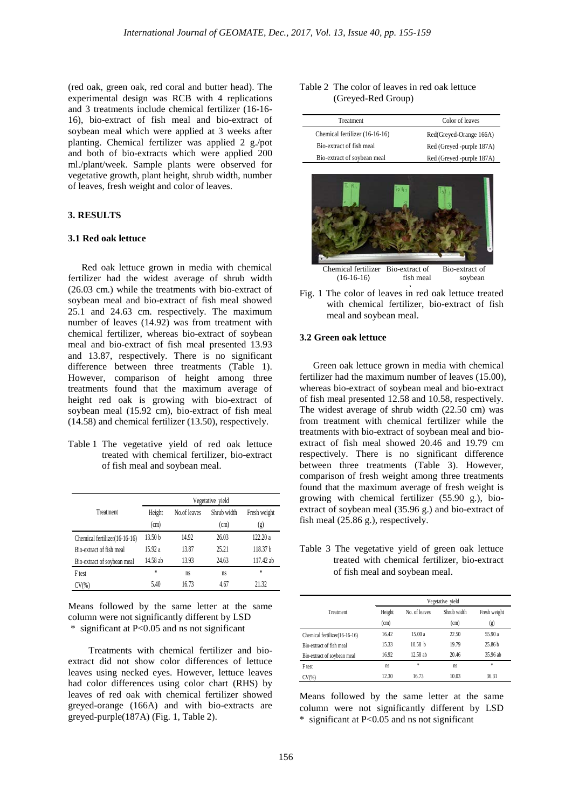(red oak, green oak, red coral and butter head). The experimental design was RCB with 4 replications and 3 treatments include chemical fertilizer (16-16- 16), bio-extract of fish meal and bio-extract of soybean meal which were applied at 3 weeks after planting. Chemical fertilizer was applied 2 g./pot and both of bio-extracts which were applied 200 ml./plant/week. Sample plants were observed for vegetative growth, plant height, shrub width, number of leaves, fresh weight and color of leaves.

#### **3. RESULTS**

#### **3.1 Red oak lettuce**

Red oak lettuce grown in media with chemical fertilizer had the widest average of shrub width (26.03 cm.) while the treatments with bio-extract of soybean meal and bio-extract of fish meal showed 25.1 and 24.63 cm. respectively. The maximum number of leaves (14.92) was from treatment with chemical fertilizer, whereas bio-extract of soybean meal and bio-extract of fish meal presented 13.93 and 13.87, respectively. There is no significant difference between three treatments (Table 1). However, comparison of height among three treatments found that the maximum average of height red oak is growing with bio-extract of soybean meal (15.92 cm), bio-extract of fish meal (14.58) and chemical fertilizer (13.50), respectively.

Table 1 The vegetative yield of red oak lettuce treated with chemical fertilizer, bio-extract of fish meal and soybean meal.

|                               | Vegetative vield   |              |                     |                     |  |
|-------------------------------|--------------------|--------------|---------------------|---------------------|--|
| Treatment                     | Height<br>(cm)     | No.of leaves | Shrub width<br>(cm) | Fresh weight<br>(g) |  |
| Chemical fertilizer(16-16-16) | 13.50 <sub>b</sub> | 14.92        | 26.03               | 122.20a             |  |
| Bio-extract of fish meal      | 15.92 a            | 13.87        | 25.21               | 118.37 b            |  |
| Bio-extract of soybean meal   | 14.58 ab           | 13.93        | 24.63               | 117.42 ab           |  |
| F test                        | $\ast$             | ns           | ns                  | $\ast$              |  |
| $CV(\%)$                      | 5.40               | 16.73        | 4.67                | 21.32               |  |

Means followed by the same letter at the same column were not significantly different by LSD \* significant at P<0.05 and ns not significant

Treatments with chemical fertilizer and bioextract did not show color differences of lettuce leaves using necked eyes. However, lettuce leaves had color differences using color chart (RHS) by leaves of red oak with chemical fertilizer showed greyed-orange (166A) and with bio-extracts are greyed-purple(187A) (Fig. 1, Table 2).

| Table 2 The color of leaves in red oak lettuce |                    |  |  |  |  |
|------------------------------------------------|--------------------|--|--|--|--|
|                                                | (Greyed-Red Group) |  |  |  |  |

| Treatment                      | Color of leaves           |
|--------------------------------|---------------------------|
| Chemical fertilizer (16-16-16) | Red(Greyed-Orange 166A)   |
| Bio-extract of fish meal       | Red (Greyed -purple 187A) |
| Bio-extract of soybean meal    | Red (Greyed -purple 187A) |



Fig. 1 The color of leaves in red oak lettuce treated with chemical fertilizer, bio-extract of fish meal and soybean meal.

#### **3.2 Green oak lettuce**

Green oak lettuce grown in media with chemical fertilizer had the maximum number of leaves (15.00), whereas bio-extract of soybean meal and bio-extract of fish meal presented 12.58 and 10.58, respectively. The widest average of shrub width (22.50 cm) was from treatment with chemical fertilizer while the treatments with bio-extract of soybean meal and bioextract of fish meal showed 20.46 and 19.79 cm respectively. There is no significant difference between three treatments (Table 3). However, comparison of fresh weight among three treatments found that the maximum average of fresh weight is growing with chemical fertilizer (55.90 g.), bioextract of soybean meal (35.96 g.) and bio-extract of fish meal (25.86 g.), respectively.

Table 3 The vegetative yield of green oak lettuce treated with chemical fertilizer, bio-extract of fish meal and soybean meal.

|                               |                | Vegetative yield   |                     |                     |  |  |
|-------------------------------|----------------|--------------------|---------------------|---------------------|--|--|
| Treatment                     | Height<br>(cm) | No. of leaves      | Shrub width<br>(cm) | Fresh weight<br>(g) |  |  |
| Chemical fertilizer(16-16-16) | 16.42          | 15.00 a            | 22.50               | 55.90 a             |  |  |
| Bio-extract of fish meal      | 15.33          | 10.58 <sub>b</sub> | 19.79               | 25.86 <sub>b</sub>  |  |  |
| Bio-extract of soybean meal   | 16.92          | 12.58 ab           | 20.46               | 35.96 ab            |  |  |
| F <sub>test</sub>             | ns             | $\ast$             | ns                  | *                   |  |  |
| $CV(\%)$                      | 12.30          | 16.73              | 10.03               | 36.31               |  |  |

Means followed by the same letter at the same column were not significantly different by LSD \* significant at P<0.05 and ns not significant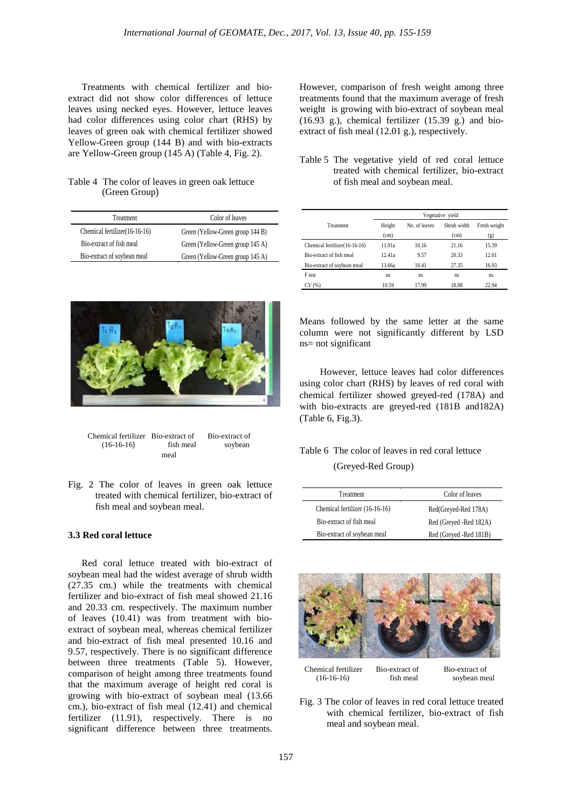Treatments with chemical fertilizer and bioextract did not show color differences of lettuce leaves using necked eyes. However, lettuce leaves had color differences using color chart (RHS) by leaves of green oak with chemical fertilizer showed Yellow-Green group (144 B) and with bio-extracts are Yellow-Green group (145 A) (Table 4, Fig. 2).

#### Table 4 The color of leaves in green oak lettuce (Green Group)

| Treatment                     | Color of leaves                  |
|-------------------------------|----------------------------------|
| Chemical fertilizer(16-16-16) | Green (Yellow-Green group 144 B) |
| Bio-extract of fish meal      | Green (Yellow-Green group 145 A) |
| Bio-extract of soybean meal   | Green (Yellow-Green group 145 A) |



| Chemical fertilizer Bio-extract of |           | Bio-extract of |
|------------------------------------|-----------|----------------|
| $(16-16-16)$                       | fish meal | soybean        |
|                                    | meal      |                |

Fig. 2 The color of leaves in green oak lettuce treated with chemical fertilizer, bio-extract of fish meal and soybean meal.

#### **3.3 Red coral lettuce**

Red coral lettuce treated with bio-extract of soybean meal had the widest average of shrub width (27.35 cm.) while the treatments with chemical fertilizer and bio-extract of fish meal showed 21.16 and 20.33 cm. respectively. The maximum number of leaves (10.41) was from treatment with bioextract of soybean meal, whereas chemical fertilizer and bio-extract of fish meal presented 10.16 and 9.57, respectively. There is no significant difference between three treatments (Table 5). However, comparison of height among three treatments found that the maximum average of height red coral is growing with bio-extract of soybean meal (13.66 cm.), bio-extract of fish meal (12.41) and chemical fertilizer (11.91), respectively. There is no significant difference between three treatments.

However, comparison of fresh weight among three treatments found that the maximum average of fresh weight is growing with bio-extract of soybean meal (16.93 g.), chemical fertilizer (15.39 g.) and bioextract of fish meal (12.01 g.), respectively.

|  | Table 5 The vegetative yield of red coral lettuce |  |  |  |
|--|---------------------------------------------------|--|--|--|
|  | treated with chemical fertilizer, bio-extract     |  |  |  |
|  | of fish meal and soybean meal.                    |  |  |  |

|                               | Vegetative yield |               |             |                           |  |  |
|-------------------------------|------------------|---------------|-------------|---------------------------|--|--|
| Treatment                     | Height           | No. of leaves | Shrub width | Fresh weight              |  |  |
|                               | (cm)             |               | (cm)        | $\left( \text{g} \right)$ |  |  |
| Chemical fertilizer(16-16-16) | 11.91a           | 10.16         | 21.16       | 15.39                     |  |  |
| Bio-extract of fish meal      | 12.41a           | 9.57          | 20.33       | 12.01                     |  |  |
| Bio-extract of soybean meal   | 13.66a           | 10.41         | 27.35       | 16.93                     |  |  |
| F test                        | ns               | ns            | ns          | ns                        |  |  |
| CV (%)                        | 10.59            | 17.99         | 18.88       | 22.94                     |  |  |

Means followed by the same letter at the same column were not significantly different by LSD ns= not significant

However, lettuce leaves had color differences using color chart (RHS) by leaves of red coral with chemical fertilizer showed greyed-red (178A) and with bio-extracts are greyed-red (181B and182A) (Table 6, Fig.3).

## Table 6 The color of leaves in red coral lettuce (Greyed-Red Group)

| Treatment                      | Color of leaves        |
|--------------------------------|------------------------|
| Chemical fertilizer (16-16-16) | Red(Greyed-Red 178A)   |
| Bio-extract of fish meal       | Red (Greyed -Red 182A) |
| Bio-extract of soybean meal    | Red (Greyed -Red 181B) |



Fig. 3 The color of leaves in red coral lettuce treated with chemical fertilizer, bio-extract of fish meal and soybean meal.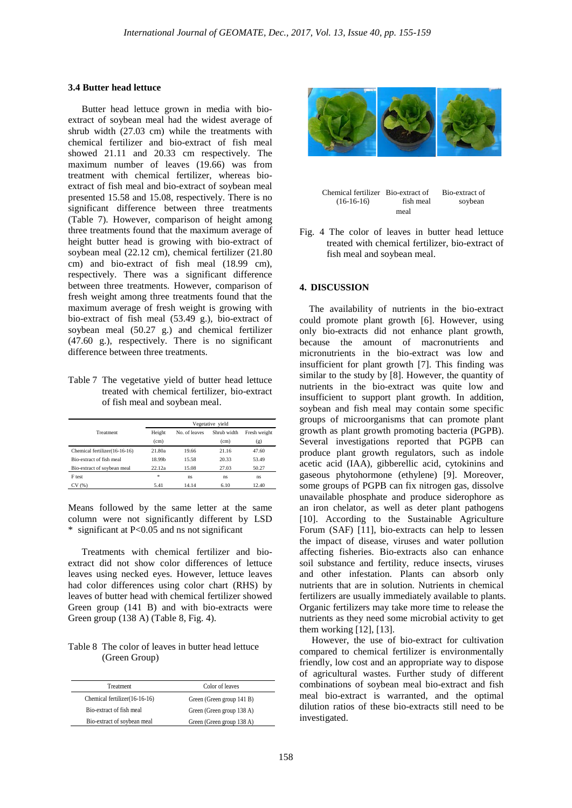#### **3.4 Butter head lettuce**

Butter head lettuce grown in media with bioextract of soybean meal had the widest average of shrub width (27.03 cm) while the treatments with chemical fertilizer and bio-extract of fish meal showed 21.11 and 20.33 cm respectively. The maximum number of leaves (19.66) was from treatment with chemical fertilizer, whereas bioextract of fish meal and bio-extract of soybean meal presented 15.58 and 15.08, respectively. There is no significant difference between three treatments (Table 7). However, comparison of height among three treatments found that the maximum average of height butter head is growing with bio-extract of soybean meal (22.12 cm), chemical fertilizer (21.80 cm) and bio-extract of fish meal (18.99 cm), respectively. There was a significant difference between three treatments. However, comparison of fresh weight among three treatments found that the maximum average of fresh weight is growing with bio-extract of fish meal (53.49 g.), bio-extract of soybean meal (50.27 g.) and chemical fertilizer (47.60 g.), respectively. There is no significant difference between three treatments.

Table 7 The vegetative yield of butter head lettuce treated with chemical fertilizer, bio-extract of fish meal and soybean meal.

|                               | Vegetative yield |               |             |              |  |
|-------------------------------|------------------|---------------|-------------|--------------|--|
| Treatment                     | Height           | No. of leaves | Shrub width | Fresh weight |  |
|                               | (cm)             |               | (cm)        | (g)          |  |
| Chemical fertilizer(16-16-16) | 21.80a           | 19.66         | 21.16       | 47.60        |  |
| Bio-extract of fish meal      | 18.99b           | 15.58         | 20.33       | 53.49        |  |
| Bio-extract of soybean meal   | 22.12a           | 15.08         | 27.03       | 50.27        |  |
| F test                        | 宋                | ns            | ns          | ns.          |  |
| CV (%)                        | 5.41             | 14.14         | 6.10        | 12.40        |  |

Means followed by the same letter at the same column were not significantly different by LSD \* significant at P<0.05 and ns not significant

Treatments with chemical fertilizer and bioextract did not show color differences of lettuce leaves using necked eyes. However, lettuce leaves had color differences using color chart (RHS) by leaves of butter head with chemical fertilizer showed Green group (141 B) and with bio-extracts were Green group (138 A) (Table 8, Fig. 4).

Table 8 The color of leaves in butter head lettuce (Green Group)

| <b>Treatment</b>              | Color of leaves           |
|-------------------------------|---------------------------|
| Chemical fertilizer(16-16-16) | Green (Green group 141 B) |
| Bio-extract of fish meal      | Green (Green group 138 A) |
| Bio-extract of soybean meal   | Green (Green group 138 A) |





Fig. 4 The color of leaves in butter head lettuce treated with chemical fertilizer, bio-extract of fish meal and soybean meal.

#### **4. DISCUSSION**

The availability of nutrients in the bio-extract could promote plant growth [6]. However, using only bio-extracts did not enhance plant growth, because the amount of macronutrients and micronutrients in the bio-extract was low and insufficient for plant growth [7]. This finding was similar to the study by [8]. However, the quantity of nutrients in the bio-extract was quite low and insufficient to support plant growth. In addition, soybean and fish meal may contain some specific groups of microorganisms that can promote plant growth as plant growth promoting bacteria (PGPB). Several investigations reported that PGPB can produce plant growth regulators, such as indole acetic acid (IAA), gibberellic acid, cytokinins and gaseous phytohormone (ethylene) [9]. Moreover, some groups of PGPB can fix nitrogen gas, dissolve unavailable phosphate and produce siderophore as an iron chelator, as well as deter plant pathogens [10]. According to the Sustainable Agriculture Forum (SAF) [11], bio-extracts can help to lessen the impact of disease, viruses and water pollution affecting fisheries. Bio-extracts also can enhance soil substance and fertility, reduce insects, viruses and other infestation. Plants can absorb only nutrients that are in solution. Nutrients in chemical fertilizers are usually immediately available to plants. Organic fertilizers may take more time to release the nutrients as they need some microbial activity to get them working [12], [13].

 However, the use of bio-extract for cultivation compared to chemical fertilizer is environmentally friendly, low cost and an appropriate way to dispose of agricultural wastes. Further study of different combinations of soybean meal bio-extract and fish meal bio-extract is warranted, and the optimal dilution ratios of these bio-extracts still need to be investigated.